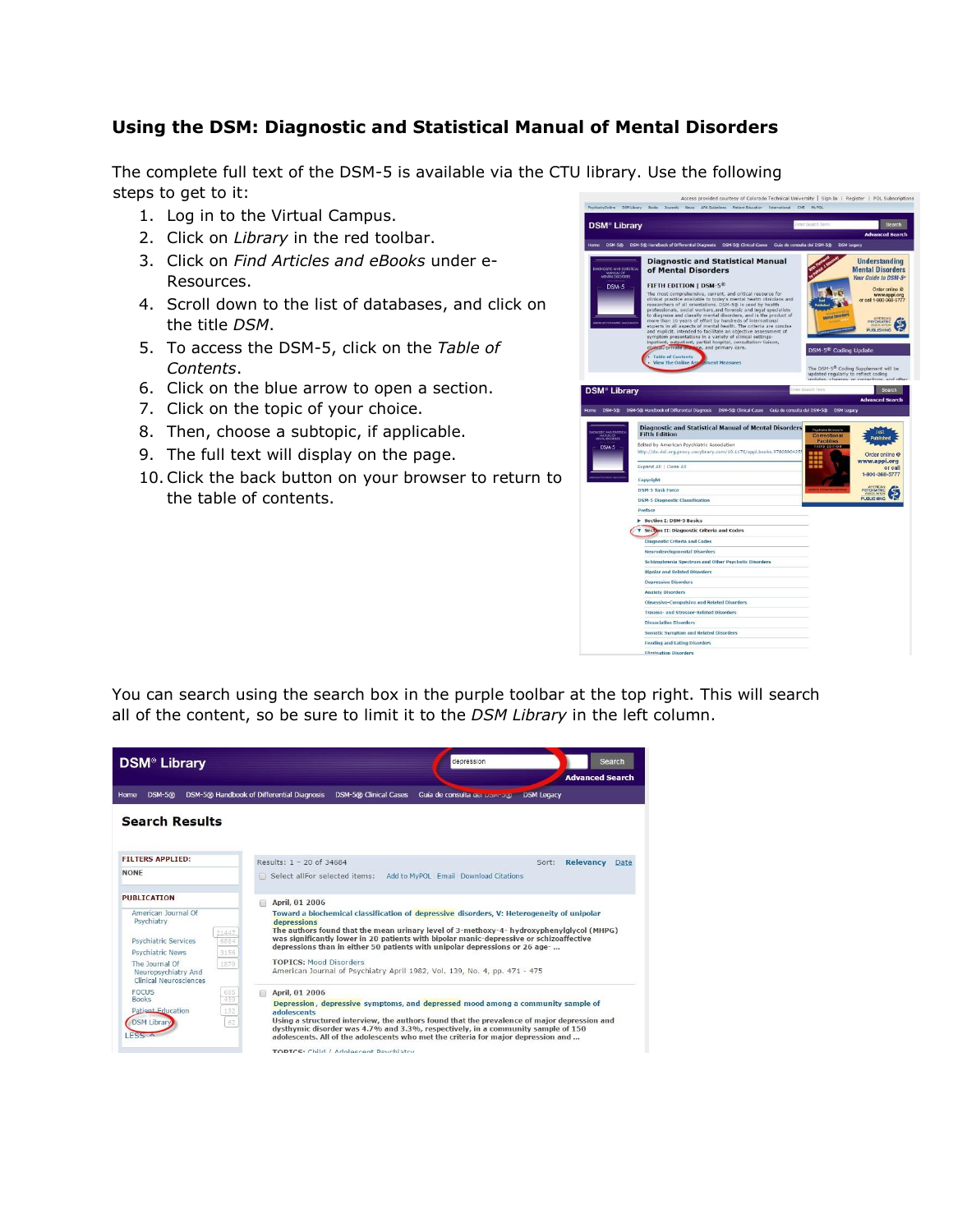## **Using the DSM: Diagnostic and Statistical Manual of Mental Disorders**

The complete full text of the DSM-5 is available via the CTU library. Use the following steps to get to it:

- 1. Log in to the Virtual Campus.
- 2. Click on *Library* in the red toolbar.
- 3. Click on *Find Articles and eBooks* under e-Resources.
- 4. Scroll down to the list of databases, and click on the title *DSM*.
- 5. To access the DSM-5, click on the *Table of Contents*.
- 6. Click on the blue arrow to open a section.
- 7. Click on the topic of your choice.
- 8. Then, choose a subtopic, if applicable.
- 9. The full text will display on the page.
- 10.Click the back button on your browser to return to the table of contents.



You can search using the search box in the purple toolbar at the top right. This will search all of the content, so be sure to limit it to the *DSM Library* in the left column.